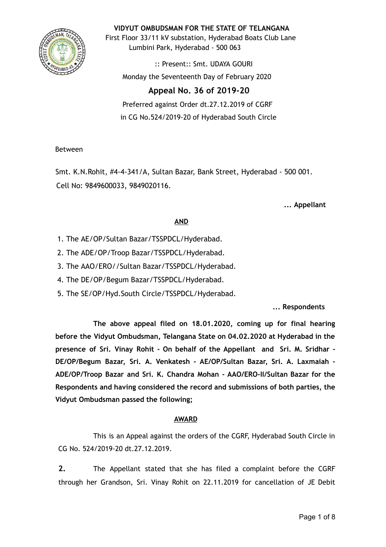

**VIDYUT OMBUDSMAN FOR THE STATE OF TELANGANA**

First Floor 33/11 kV substation, Hyderabad Boats Club Lane Lumbini Park, Hyderabad - 500 063

:: Present:: Smt. UDAYA GOURI Monday the Seventeenth Day of February 2020

# **Appeal No. 36 of 2019-20**

Preferred against Order dt.27.12.2019 of CGRF in CG No.524/2019-20 of Hyderabad South Circle

## Between

Smt. K.N.Rohit, #4-4-341/A, Sultan Bazar, Bank Street, Hyderabad - 500 001. Cell No: 9849600033, 9849020116.

**... Appellant**

## **AND**

- 1. The AE/OP/Sultan Bazar/TSSPDCL/Hyderabad.
- 2. The ADE/OP/Troop Bazar/TSSPDCL/Hyderabad.
- 3. The AAO/ERO//Sultan Bazar/TSSPDCL/Hyderabad.
- 4. The DE/OP/Begum Bazar/TSSPDCL/Hyderabad.
- 5. The SE/OP/Hyd.South Circle/TSSPDCL/Hyderabad.

## **... Respondents**

**The above appeal filed on 18.01.2020, coming up for final hearing before the Vidyut Ombudsman, Telangana State on 04.02.2020 at Hyderabad in the presence of Sri. Vinay Rohit - On behalf of the Appellant and Sri. M. Sridhar - DE/OP/Begum Bazar, Sri. A. Venkatesh - AE/OP/Sultan Bazar, Sri. A. Laxmaiah - ADE/OP/Troop Bazar and Sri. K. Chandra Mohan - AAO/ERO-II/Sultan Bazar for the Respondents and having considered the record and submissions of both parties, the Vidyut Ombudsman passed the following;**

## **AWARD**

This is an Appeal against the orders of the CGRF, Hyderabad South Circle in CG No. 524/2019-20 dt.27.12.2019.

**2.** The Appellant stated that she has filed a complaint before the CGRF through her Grandson, Sri. Vinay Rohit on 22.11.2019 for cancellation of JE Debit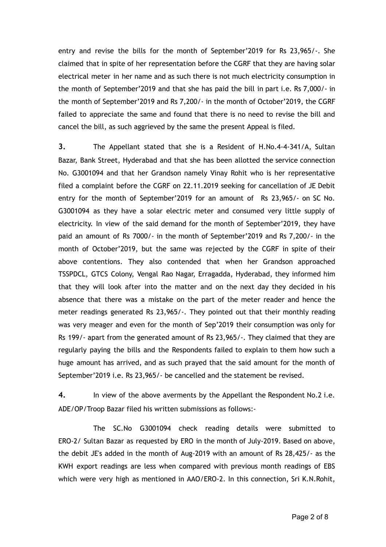entry and revise the bills for the month of September'2019 for Rs 23,965/-. She claimed that in spite of her representation before the CGRF that they are having solar electrical meter in her name and as such there is not much electricity consumption in the month of September'2019 and that she has paid the bill in part i.e. Rs 7,000/- in the month of September'2019 and Rs 7,200/- in the month of October'2019, the CGRF failed to appreciate the same and found that there is no need to revise the bill and cancel the bill, as such aggrieved by the same the present Appeal is filed.

**3.** The Appellant stated that she is a Resident of H.No.4-4-341/A, Sultan Bazar, Bank Street, Hyderabad and that she has been allotted the service connection No. G3001094 and that her Grandson namely Vinay Rohit who is her representative filed a complaint before the CGRF on 22.11.2019 seeking for cancellation of JE Debit entry for the month of September'2019 for an amount of Rs 23,965/- on SC No. G3001094 as they have a solar electric meter and consumed very little supply of electricity. In view of the said demand for the month of September'2019, they have paid an amount of Rs 7000/- in the month of September'2019 and Rs 7,200/- in the month of October'2019, but the same was rejected by the CGRF in spite of their above contentions. They also contended that when her Grandson approached TSSPDCL, GTCS Colony, Vengal Rao Nagar, Erragadda, Hyderabad, they informed him that they will look after into the matter and on the next day they decided in his absence that there was a mistake on the part of the meter reader and hence the meter readings generated Rs 23,965/-. They pointed out that their monthly reading was very meager and even for the month of Sep'2019 their consumption was only for Rs 199/- apart from the generated amount of Rs 23,965/-. They claimed that they are regularly paying the bills and the Respondents failed to explain to them how such a huge amount has arrived, and as such prayed that the said amount for the month of September'2019 i.e. Rs 23,965/- be cancelled and the statement be revised.

**4.** In view of the above averments by the Appellant the Respondent No.2 i.e. ADE/OP/Troop Bazar filed his written submissions as follows:-

The SC.No G3001094 check reading details were submitted to ERO-2/ Sultan Bazar as requested by ERO in the month of July-2019. Based on above, the debit JE's added in the month of Aug-2019 with an amount of Rs 28,425/- as the KWH export readings are less when compared with previous month readings of EBS which were very high as mentioned in AAO/ERO-2. In this connection, Sri K.N.Rohit,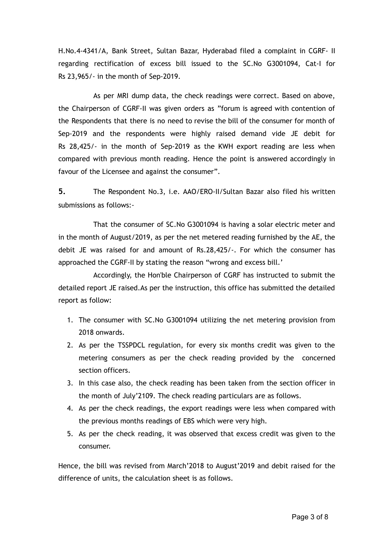H.No.4-4341/A, Bank Street, Sultan Bazar, Hyderabad filed a complaint in CGRF- II regarding rectification of excess bill issued to the SC.No G3001094, Cat-I for Rs 23,965/- in the month of Sep-2019.

As per MRI dump data, the check readings were correct. Based on above, the Chairperson of CGRF-II was given orders as "forum is agreed with contention of the Respondents that there is no need to revise the bill of the consumer for month of Sep-2019 and the respondents were highly raised demand vide JE debit for Rs 28,425/- in the month of Sep-2019 as the KWH export reading are less when compared with previous month reading. Hence the point is answered accordingly in favour of the Licensee and against the consumer".

**5.** The Respondent No.3, i.e. AAO/ERO-II/Sultan Bazar also filed his written submissions as follows:-

That the consumer of SC.No G3001094 is having a solar electric meter and in the month of August/2019, as per the net metered reading furnished by the AE, the debit JE was raised for and amount of Rs.28,425/-. For which the consumer has approached the CGRF-II by stating the reason "wrong and excess bill.'

Accordingly, the Hon'ble Chairperson of CGRF has instructed to submit the detailed report JE raised.As per the instruction, this office has submitted the detailed report as follow:

- 1. The consumer with SC.No G3001094 utilizing the net metering provision from 2018 onwards.
- 2. As per the TSSPDCL regulation, for every six months credit was given to the metering consumers as per the check reading provided by the concerned section officers.
- 3. In this case also, the check reading has been taken from the section officer in the month of July'2109. The check reading particulars are as follows.
- 4. As per the check readings, the export readings were less when compared with the previous months readings of EBS which were very high.
- 5. As per the check reading, it was observed that excess credit was given to the consumer.

Hence, the bill was revised from March'2018 to August'2019 and debit raised for the difference of units, the calculation sheet is as follows.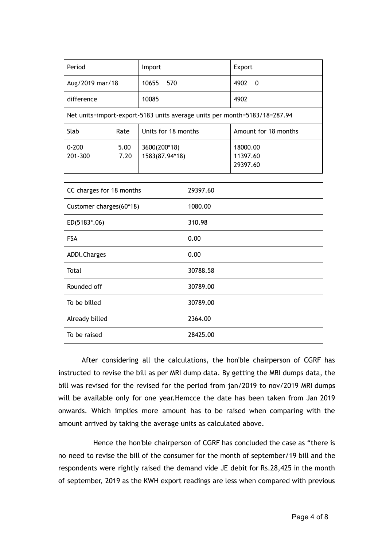| Period                                                                    |              | Import                         | Export                           |  |  |
|---------------------------------------------------------------------------|--------------|--------------------------------|----------------------------------|--|--|
| Aug/2019 mar/18                                                           |              | 10655<br>570                   | 4902<br>- 0                      |  |  |
| difference                                                                |              | 10085                          | 4902                             |  |  |
| Net units=import-export-5183 units average units per month=5183/18=287.94 |              |                                |                                  |  |  |
| Slab                                                                      | Rate         | Units for 18 months            | Amount for 18 months             |  |  |
| $0 - 200$<br>201-300                                                      | 5.00<br>7.20 | 3600(200*18)<br>1583(87.94*18) | 18000.00<br>11397.60<br>29397.60 |  |  |

| CC charges for 18 months | 29397.60 |
|--------------------------|----------|
| Customer charges(60*18)  | 1080.00  |
| ED(5183*.06)             | 310.98   |
| <b>FSA</b>               | 0.00     |
| ADDI.Charges             | 0.00     |
| Total                    | 30788.58 |
| Rounded off              | 30789.00 |
| To be billed             | 30789.00 |
| Already billed           | 2364.00  |
| To be raised             | 28425.00 |

After considering all the calculations, the hon'ble chairperson of CGRF has instructed to revise the bill as per MRI dump data. By getting the MRI dumps data, the bill was revised for the revised for the period from jan/2019 to nov/2019 MRI dumps will be available only for one year.Hemcce the date has been taken from Jan 2019 onwards. Which implies more amount has to be raised when comparing with the amount arrived by taking the average units as calculated above.

Hence the hon'ble chairperson of CGRF has concluded the case as "there is no need to revise the bill of the consumer for the month of september/19 bill and the respondents were rightly raised the demand vide JE debit for Rs.28,425 in the month of september, 2019 as the KWH export readings are less when compared with previous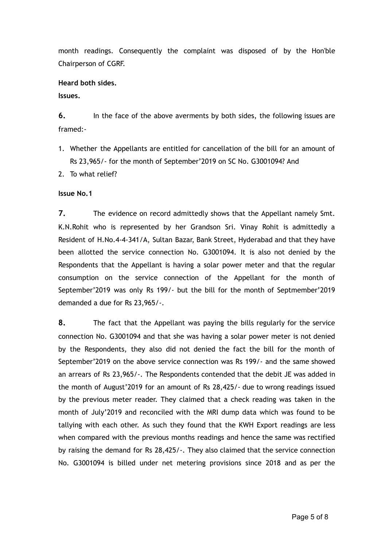month readings. Consequently the complaint was disposed of by the Hon'ble Chairperson of CGRF.

#### **Heard both sides.**

**Issues.**

**6.** In the face of the above averments by both sides, the following issues are framed:-

- 1. Whether the Appellants are entitled for cancellation of the bill for an amount of Rs 23,965/- for the month of September'2019 on SC No. G3001094? And
- 2. To what relief?

#### **Issue No.1**

**7.** The evidence on record admittedly shows that the Appellant namely Smt. K.N.Rohit who is represented by her Grandson Sri. Vinay Rohit is admittedly a Resident of H.No.4-4-341/A, Sultan Bazar, Bank Street, Hyderabad and that they have been allotted the service connection No. G3001094. It is also not denied by the Respondents that the Appellant is having a solar power meter and that the regular consumption on the service connection of the Appellant for the month of September'2019 was only Rs 199/- but the bill for the month of Septmember'2019 demanded a due for Rs 23,965/-.

**8.** The fact that the Appellant was paying the bills regularly for the service connection No. G3001094 and that she was having a solar power meter is not denied by the Respondents, they also did not denied the fact the bill for the month of September'2019 on the above service connection was Rs 199/- and the same showed an arrears of Rs 23,965/-. The Respondents contended that the debit JE was added in the month of August'2019 for an amount of Rs 28,425/- due to wrong readings issued by the previous meter reader. They claimed that a check reading was taken in the month of July'2019 and reconciled with the MRI dump data which was found to be tallying with each other. As such they found that the KWH Export readings are less when compared with the previous months readings and hence the same was rectified by raising the demand for Rs 28,425/-. They also claimed that the service connection No. G3001094 is billed under net metering provisions since 2018 and as per the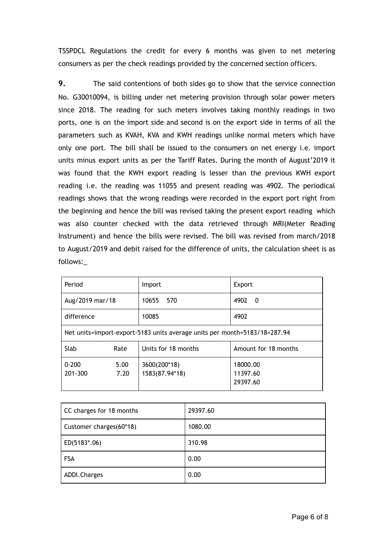TSSPDCL Regulations the credit for every 6 months was given to net metering consumers as per the check readings provided by the concerned section officers.

**9.** The said contentions of both sides go to show that the service connection No. G30010094, is billing under net metering provision through solar power meters since 2018. The reading for such meters involves taking monthly readings in two ports, one is on the import side and second is on the export side in terms of all the parameters such as KVAH, KVA and KWH readings unlike normal meters which have only one port. The bill shall be issued to the consumers on net energy i.e. import units minus export units as per the Tariff Rates. During the month of August'2019 it was found that the KWH export reading is lesser than the previous KWH export reading i.e. the reading was 11055 and present reading was 4902. The periodical readings shows that the wrong readings were recorded in the export port right from the beginning and hence the bill was revised taking the present export reading which was also counter checked with the data retrieved through MRI(Meter Reading Instrument) and hence the bills were revised. The bill was revised from march/2018 to August/2019 and debit raised for the difference of units, the calculation sheet is as follows:\_

| Period                                                                    |              | Import                                                             | Export               |  |
|---------------------------------------------------------------------------|--------------|--------------------------------------------------------------------|----------------------|--|
| Aug/2019 mar/18                                                           |              | 10655<br>570                                                       | 4902<br>- 0          |  |
| difference                                                                |              | 10085                                                              | 4902                 |  |
| Net units=import-export-5183 units average units per month=5183/18=287.94 |              |                                                                    |                      |  |
| Slab                                                                      | Rate         | Units for 18 months                                                | Amount for 18 months |  |
| $0 - 200$<br>201-300                                                      | 5.00<br>7.20 | 3600(200*18)<br>18000.00<br>1583(87.94*18)<br>11397.60<br>29397.60 |                      |  |

| CC charges for 18 months | 29397.60 |
|--------------------------|----------|
| Customer charges(60*18)  | 1080.00  |
| ED(5183*.06)             | 310.98   |
| <b>FSA</b>               | 0.00     |
| ADDI.Charges             | 0.00     |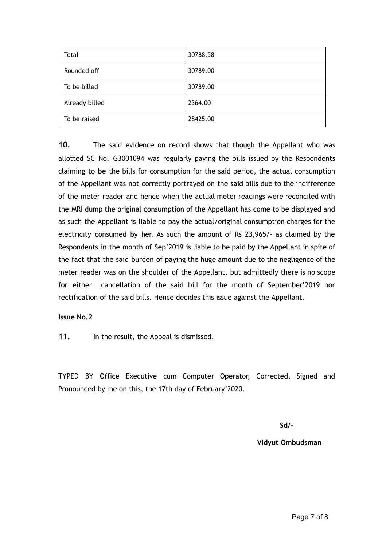| Total          | 30788.58 |
|----------------|----------|
| Rounded off    | 30789.00 |
| To be billed   | 30789.00 |
| Already billed | 2364.00  |
| To be raised   | 28425.00 |

**10.** The said evidence on record shows that though the Appellant who was allotted SC No. G3001094 was regularly paying the bills issued by the Respondents claiming to be the bills for consumption for the said period, the actual consumption of the Appellant was not correctly portrayed on the said bills due to the indifference of the meter reader and hence when the actual meter readings were reconciled with the MRI dump the original consumption of the Appellant has come to be displayed and as such the Appellant is liable to pay the actual/original consumption charges for the electricity consumed by her. As such the amount of Rs 23,965/- as claimed by the Respondents in the month of Sep'2019 is liable to be paid by the Appellant in spite of the fact that the said burden of paying the huge amount due to the negligence of the meter reader was on the shoulder of the Appellant, but admittedly there is no scope for either cancellation of the said bill for the month of September'2019 nor rectification of the said bills. Hence decides this issue against the Appellant.

#### **Issue No.2**

**11.** In the result, the Appeal is dismissed.

TYPED BY Office Executive cum Computer Operator, Corrected, Signed and Pronounced by me on this, the 17th day of February'2020.

**Sd/-**

**Vidyut Ombudsman**